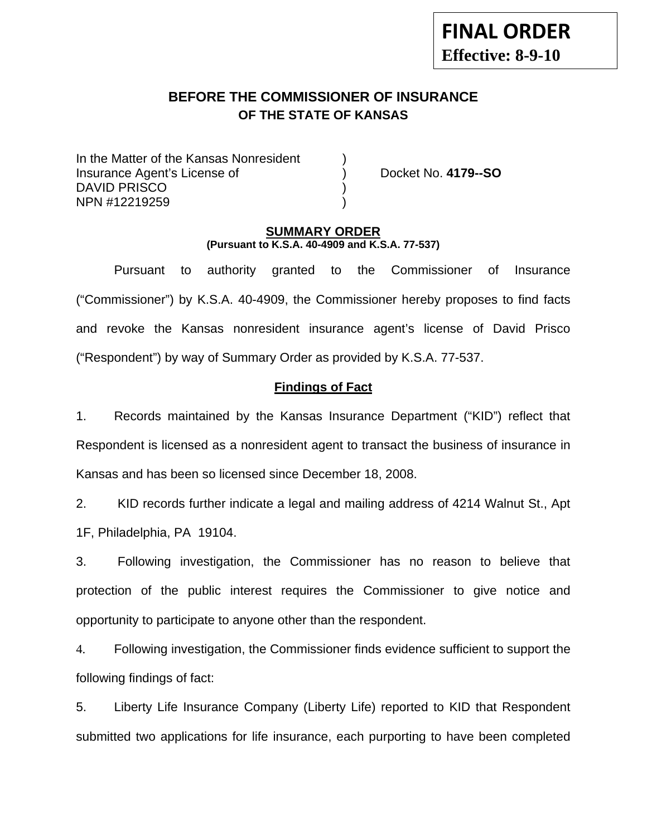# **BEFORE THE COMMISSIONER OF INSURANCE OF THE STATE OF KANSAS**

In the Matter of the Kansas Nonresident Insurance Agent's License of ) Docket No. **4179--SO** DAVID PRISCO NPN #12219259 )

### **SUMMARY ORDER (Pursuant to K.S.A. 40-4909 and K.S.A. 77-537)**

 Pursuant to authority granted to the Commissioner of Insurance ("Commissioner") by K.S.A. 40-4909, the Commissioner hereby proposes to find facts and revoke the Kansas nonresident insurance agent's license of David Prisco ("Respondent") by way of Summary Order as provided by K.S.A. 77-537.

# **Findings of Fact**

1. Records maintained by the Kansas Insurance Department ("KID") reflect that Respondent is licensed as a nonresident agent to transact the business of insurance in Kansas and has been so licensed since December 18, 2008.

2. KID records further indicate a legal and mailing address of 4214 Walnut St., Apt 1F, Philadelphia, PA 19104.

3. Following investigation, the Commissioner has no reason to believe that protection of the public interest requires the Commissioner to give notice and opportunity to participate to anyone other than the respondent.

4. Following investigation, the Commissioner finds evidence sufficient to support the following findings of fact:

5. Liberty Life Insurance Company (Liberty Life) reported to KID that Respondent submitted two applications for life insurance, each purporting to have been completed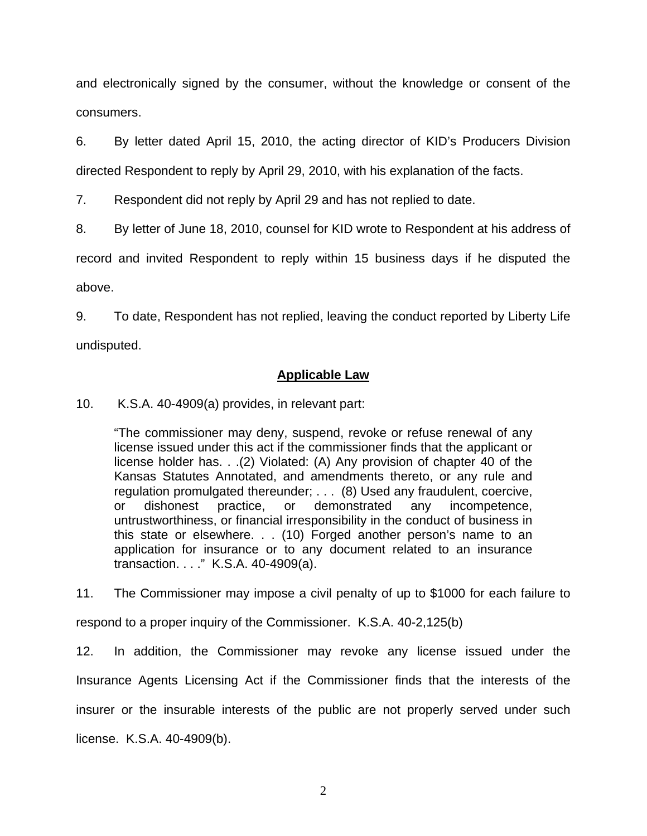and electronically signed by the consumer, without the knowledge or consent of the consumers.

6. By letter dated April 15, 2010, the acting director of KID's Producers Division directed Respondent to reply by April 29, 2010, with his explanation of the facts.

7. Respondent did not reply by April 29 and has not replied to date.

8. By letter of June 18, 2010, counsel for KID wrote to Respondent at his address of

record and invited Respondent to reply within 15 business days if he disputed the above.

9. To date, Respondent has not replied, leaving the conduct reported by Liberty Life undisputed.

### **Applicable Law**

10. K.S.A. 40-4909(a) provides, in relevant part:

"The commissioner may deny, suspend, revoke or refuse renewal of any license issued under this act if the commissioner finds that the applicant or license holder has. . .(2) Violated: (A) Any provision of chapter 40 of the Kansas Statutes Annotated, and amendments thereto, or any rule and regulation promulgated thereunder; . . . (8) Used any fraudulent, coercive, or dishonest practice, or demonstrated any incompetence, untrustworthiness, or financial irresponsibility in the conduct of business in this state or elsewhere. . . (10) Forged another person's name to an application for insurance or to any document related to an insurance transaction. . . ." K.S.A. 40-4909(a).

11. The Commissioner may impose a civil penalty of up to \$1000 for each failure to

respond to a proper inquiry of the Commissioner. K.S.A. 40-2,125(b)

12. In addition, the Commissioner may revoke any license issued under the Insurance Agents Licensing Act if the Commissioner finds that the interests of the insurer or the insurable interests of the public are not properly served under such license. K.S.A. 40-4909(b).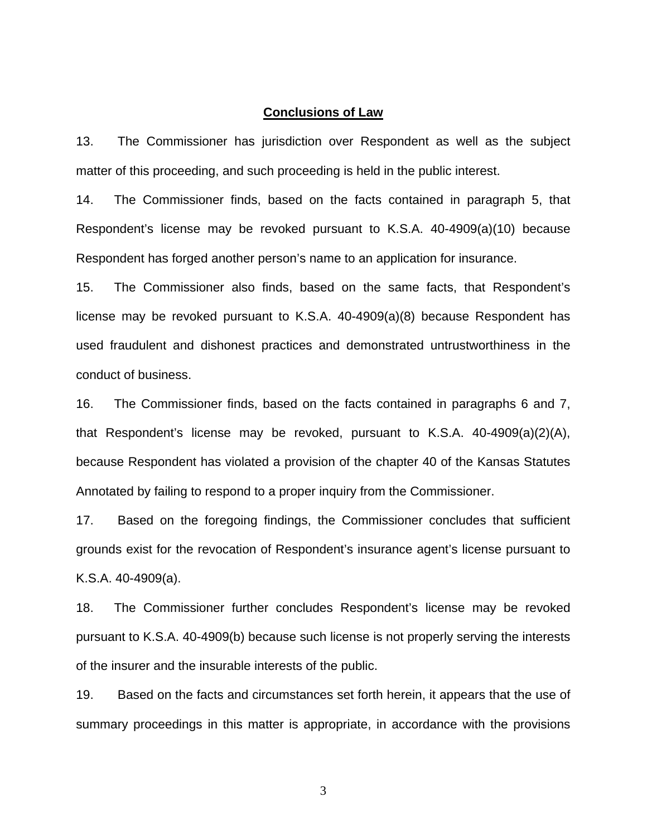#### **Conclusions of Law**

13. The Commissioner has jurisdiction over Respondent as well as the subject matter of this proceeding, and such proceeding is held in the public interest.

14. The Commissioner finds, based on the facts contained in paragraph 5, that Respondent's license may be revoked pursuant to K.S.A. 40-4909(a)(10) because Respondent has forged another person's name to an application for insurance.

15. The Commissioner also finds, based on the same facts, that Respondent's license may be revoked pursuant to K.S.A. 40-4909(a)(8) because Respondent has used fraudulent and dishonest practices and demonstrated untrustworthiness in the conduct of business.

16. The Commissioner finds, based on the facts contained in paragraphs 6 and 7, that Respondent's license may be revoked, pursuant to K.S.A. 40-4909(a)(2)(A), because Respondent has violated a provision of the chapter 40 of the Kansas Statutes Annotated by failing to respond to a proper inquiry from the Commissioner.

17. Based on the foregoing findings, the Commissioner concludes that sufficient grounds exist for the revocation of Respondent's insurance agent's license pursuant to K.S.A. 40-4909(a).

18. The Commissioner further concludes Respondent's license may be revoked pursuant to K.S.A. 40-4909(b) because such license is not properly serving the interests of the insurer and the insurable interests of the public.

19. Based on the facts and circumstances set forth herein, it appears that the use of summary proceedings in this matter is appropriate, in accordance with the provisions

3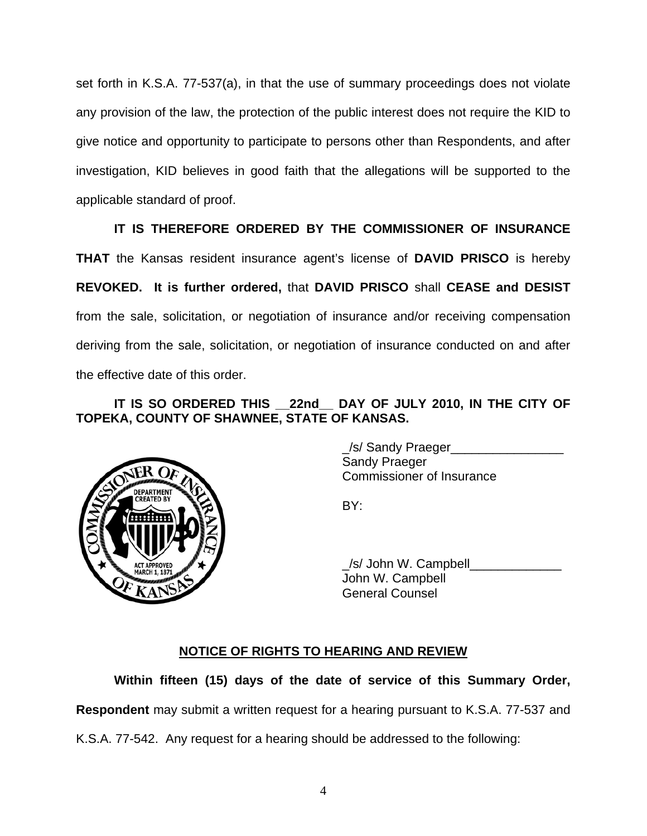set forth in K.S.A. 77-537(a), in that the use of summary proceedings does not violate any provision of the law, the protection of the public interest does not require the KID to give notice and opportunity to participate to persons other than Respondents, and after investigation, KID believes in good faith that the allegations will be supported to the applicable standard of proof.

# **IT IS THEREFORE ORDERED BY THE COMMISSIONER OF INSURANCE**

**THAT** the Kansas resident insurance agent's license of **DAVID PRISCO** is hereby **REVOKED. It is further ordered,** that **DAVID PRISCO** shall **CEASE and DESIST** from the sale, solicitation, or negotiation of insurance and/or receiving compensation deriving from the sale, solicitation, or negotiation of insurance conducted on and after the effective date of this order.

# **IT IS SO ORDERED THIS \_\_22nd\_\_ DAY OF JULY 2010, IN THE CITY OF TOPEKA, COUNTY OF SHAWNEE, STATE OF KANSAS.**



/s/ Sandy Praeger Sandy Praeger Commissioner of Insurance

 \_/s/ John W. Campbell\_\_\_\_\_\_\_\_\_\_\_\_\_ John W. Campbell General Counsel

# **NOTICE OF RIGHTS TO HEARING AND REVIEW**

**Within fifteen (15) days of the date of service of this Summary Order, Respondent** may submit a written request for a hearing pursuant to K.S.A. 77-537 and

K.S.A. 77-542. Any request for a hearing should be addressed to the following: